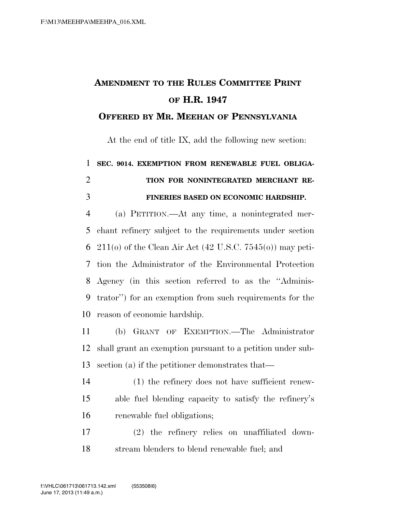## **AMENDMENT TO THE RULES COMMITTEE PRINT OF H.R. 1947**

## **OFFERED BY MR. MEEHAN OF PENNSYLVANIA**

At the end of title IX, add the following new section:

## **SEC. 9014. EXEMPTION FROM RENEWABLE FUEL OBLIGA- TION FOR NONINTEGRATED MERCHANT RE-FINERIES BASED ON ECONOMIC HARDSHIP.**

 (a) PETITION.—At any time, a nonintegrated mer- chant refinery subject to the requirements under section 211(o) of the Clean Air Act (42 U.S.C. 7545(o)) may peti- tion the Administrator of the Environmental Protection Agency (in this section referred to as the ''Adminis- trator'') for an exemption from such requirements for the reason of economic hardship.

 (b) GRANT OF EXEMPTION.—The Administrator shall grant an exemption pursuant to a petition under sub-section (a) if the petitioner demonstrates that—

- (1) the refinery does not have sufficient renew- able fuel blending capacity to satisfy the refinery's renewable fuel obligations;
- (2) the refinery relies on unaffiliated down-stream blenders to blend renewable fuel; and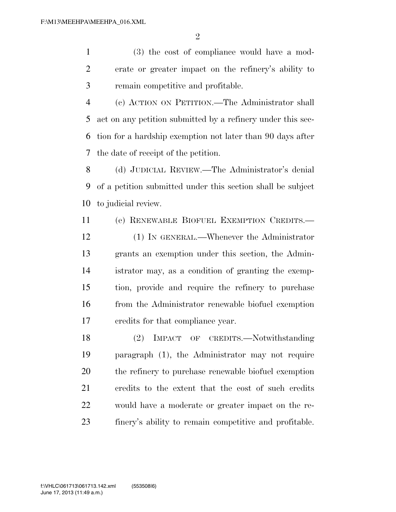(3) the cost of compliance would have a mod- erate or greater impact on the refinery's ability to remain competitive and profitable.

 (c) ACTION ON PETITION.—The Administrator shall act on any petition submitted by a refinery under this sec- tion for a hardship exemption not later than 90 days after the date of receipt of the petition.

 (d) JUDICIAL REVIEW.—The Administrator's denial of a petition submitted under this section shall be subject to judicial review.

 (e) RENEWABLE BIOFUEL EXEMPTION CREDITS.— (1) IN GENERAL.—Whenever the Administrator grants an exemption under this section, the Admin- istrator may, as a condition of granting the exemp- tion, provide and require the refinery to purchase from the Administrator renewable biofuel exemption credits for that compliance year.

 (2) IMPACT OF CREDITS.—Notwithstanding paragraph (1), the Administrator may not require the refinery to purchase renewable biofuel exemption credits to the extent that the cost of such credits would have a moderate or greater impact on the re-finery's ability to remain competitive and profitable.